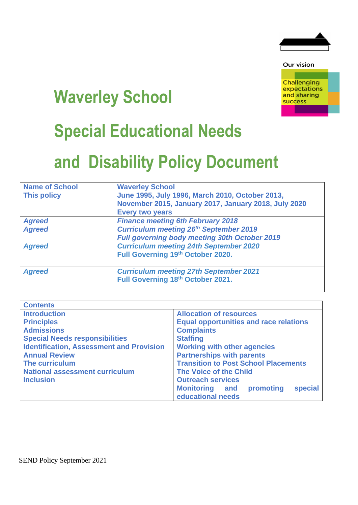

Our vision

**Challenging** expectations and sharing success

# **Waverley School**

# **Special Educational Needs**

# **and Disability Policy Document**

| <b>Name of School</b> | <b>Waverley School</b>                                                             |
|-----------------------|------------------------------------------------------------------------------------|
| <b>This policy</b>    | June 1995, July 1996, March 2010, October 2013,                                    |
|                       | November 2015, January 2017, January 2018, July 2020                               |
|                       | <b>Every two years</b>                                                             |
| <b>Agreed</b>         | <b>Finance meeting 6th February 2018</b>                                           |
| <b>Agreed</b>         | <b>Curriculum meeting 26th September 2019</b>                                      |
|                       | <b>Full governing body meeting 30th October 2019</b>                               |
| <b>Agreed</b>         | <b>Curriculum meeting 24th September 2020</b>                                      |
|                       | Full Governing 19th October 2020.                                                  |
| <b>Agreed</b>         | <b>Curriculum meeting 27th September 2021</b><br>Full Governing 18th October 2021. |

| <b>Contents</b>                                 |                                                                    |
|-------------------------------------------------|--------------------------------------------------------------------|
| <b>Introduction</b>                             | <b>Allocation of resources</b>                                     |
| <b>Principles</b>                               | <b>Equal opportunities and race relations</b>                      |
| <b>Admissions</b>                               | <b>Complaints</b>                                                  |
| <b>Special Needs responsibilities</b>           | <b>Staffing</b>                                                    |
| <b>Identification, Assessment and Provision</b> | <b>Working with other agencies</b>                                 |
| <b>Annual Review</b>                            | <b>Partnerships with parents</b>                                   |
| <b>The curriculum</b>                           | <b>Transition to Post School Placements</b>                        |
| <b>National assessment curriculum</b>           | <b>The Voice of the Child</b>                                      |
| <b>Inclusion</b>                                | <b>Outreach services</b>                                           |
|                                                 | special<br><b>Monitoring and</b><br>promoting<br>educational needs |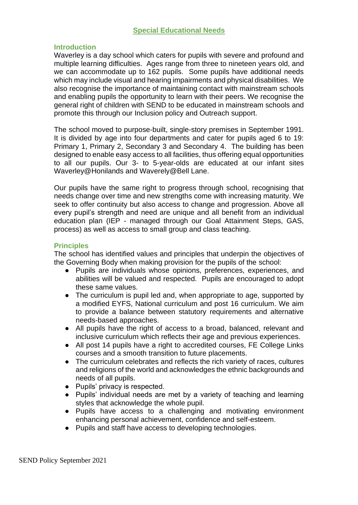# **Special Educational Needs**

# **Introduction**

Waverley is a day school which caters for pupils with severe and profound and multiple learning difficulties. Ages range from three to nineteen years old, and we can accommodate up to 162 pupils. Some pupils have additional needs which may include visual and hearing impairments and physical disabilities. We also recognise the importance of maintaining contact with mainstream schools and enabling pupils the opportunity to learn with their peers. We recognise the general right of children with SEND to be educated in mainstream schools and promote this through our Inclusion policy and Outreach support.

The school moved to purpose-built, single-story premises in September 1991. It is divided by age into four departments and cater for pupils aged 6 to 19: Primary 1, Primary 2, Secondary 3 and Secondary 4. The building has been designed to enable easy access to all facilities, thus offering equal opportunities to all our pupils. Our 3- to 5-year-olds are educated at our infant sites Waverley@Honilands and Waverely@Bell Lane.

Our pupils have the same right to progress through school, recognising that needs change over time and new strengths come with increasing maturity. We seek to offer continuity but also access to change and progression. Above all every pupil's strength and need are unique and all benefit from an individual education plan (IEP - managed through our Goal Attainment Steps, GAS, process) as well as access to small group and class teaching.

# **Principles**

The school has identified values and principles that underpin the objectives of the Governing Body when making provision for the pupils of the school:

- Pupils are individuals whose opinions, preferences, experiences, and abilities will be valued and respected. Pupils are encouraged to adopt these same values.
- The curriculum is pupil led and, when appropriate to age, supported by a modified EYFS, National curriculum and post 16 curriculum. We aim to provide a balance between statutory requirements and alternative needs-based approaches.
- All pupils have the right of access to a broad, balanced, relevant and inclusive curriculum which reflects their age and previous experiences.
- All post 14 pupils have a right to accredited courses, FE College Links courses and a smooth transition to future placements.
- The curriculum celebrates and reflects the rich variety of races, cultures and religions of the world and acknowledges the ethnic backgrounds and needs of all pupils.
- Pupils' privacy is respected.
- Pupils' individual needs are met by a variety of teaching and learning styles that acknowledge the whole pupil.
- Pupils have access to a challenging and motivating environment enhancing personal achievement, confidence and self-esteem.
- Pupils and staff have access to developing technologies.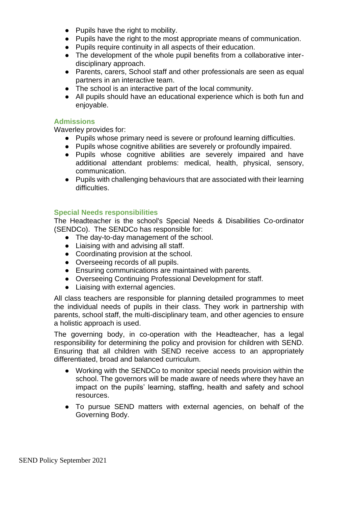- Pupils have the right to mobility.
- Pupils have the right to the most appropriate means of communication.
- Pupils require continuity in all aspects of their education.
- The development of the whole pupil benefits from a collaborative interdisciplinary approach.
- Parents, carers, School staff and other professionals are seen as equal partners in an interactive team.
- The school is an interactive part of the local community.
- All pupils should have an educational experience which is both fun and enjoyable.

# **Admissions**

Waverley provides for:

- Pupils whose primary need is severe or profound learning difficulties.
- Pupils whose cognitive abilities are severely or profoundly impaired.
- Pupils whose cognitive abilities are severely impaired and have additional attendant problems: medical, health, physical, sensory, communication.
- Pupils with challenging behaviours that are associated with their learning difficulties.

# **Special Needs responsibilities**

The Headteacher is the school's Special Needs & Disabilities Co-ordinator (SENDCo). The SENDCo has responsible for:

- The day-to-day management of the school.
- Liaising with and advising all staff.
- Coordinating provision at the school.
- Overseeing records of all pupils.
- Ensuring communications are maintained with parents.
- Overseeing Continuing Professional Development for staff.
- Liaising with external agencies.

All class teachers are responsible for planning detailed programmes to meet the individual needs of pupils in their class. They work in partnership with parents, school staff, the multi-disciplinary team, and other agencies to ensure a holistic approach is used.

The governing body, in co-operation with the Headteacher, has a legal responsibility for determining the policy and provision for children with SEND. Ensuring that all children with SEND receive access to an appropriately differentiated, broad and balanced curriculum.

- Working with the SENDCo to monitor special needs provision within the school. The governors will be made aware of needs where they have an impact on the pupils' learning, staffing, health and safety and school resources.
- To pursue SEND matters with external agencies, on behalf of the Governing Body.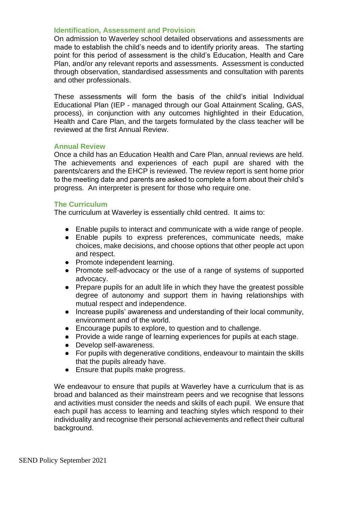# **Identification, Assessment and Provision**

On admission to Waverley school detailed observations and assessments are made to establish the child's needs and to identify priority areas. The starting point for this period of assessment is the child's Education, Health and Care Plan, and/or any relevant reports and assessments. Assessment is conducted through observation, standardised assessments and consultation with parents and other professionals.

These assessments will form the basis of the child's initial Individual Educational Plan (IEP - managed through our Goal Attainment Scaling, GAS, process), in conjunction with any outcomes highlighted in their Education, Health and Care Plan, and the targets formulated by the class teacher will be reviewed at the first Annual Review.

# **Annual Review**

Once a child has an Education Health and Care Plan, annual reviews are held. The achievements and experiences of each pupil are shared with the parents/carers and the EHCP is reviewed. The review report is sent home prior to the meeting date and parents are asked to complete a form about their child's progress. An interpreter is present for those who require one.

# **The Curriculum**

The curriculum at Waverley is essentially child centred. It aims to:

- Enable pupils to interact and communicate with a wide range of people.
- Enable pupils to express preferences, communicate needs, make choices, make decisions, and choose options that other people act upon and respect.
- Promote independent learning.
- Promote self-advocacy or the use of a range of systems of supported advocacy.
- Prepare pupils for an adult life in which they have the greatest possible degree of autonomy and support them in having relationships with mutual respect and independence.
- Increase pupils' awareness and understanding of their local community, environment and of the world.
- Encourage pupils to explore, to question and to challenge.
- Provide a wide range of learning experiences for pupils at each stage.
- Develop self-awareness.
- For pupils with degenerative conditions, endeavour to maintain the skills that the pupils already have.
- Ensure that pupils make progress.

We endeavour to ensure that pupils at Waverley have a curriculum that is as broad and balanced as their mainstream peers and we recognise that lessons and activities must consider the needs and skills of each pupil. We ensure that each pupil has access to learning and teaching styles which respond to their individuality and recognise their personal achievements and reflect their cultural background.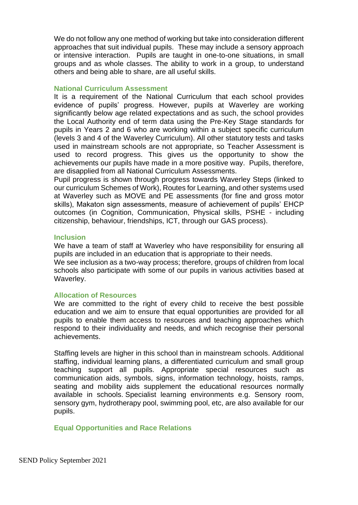We do not follow any one method of working but take into consideration different approaches that suit individual pupils. These may include a sensory approach or intensive interaction. Pupils are taught in one-to-one situations, in small groups and as whole classes. The ability to work in a group, to understand others and being able to share, are all useful skills.

#### **National Curriculum Assessment**

It is a requirement of the National Curriculum that each school provides evidence of pupils' progress. However, pupils at Waverley are working significantly below age related expectations and as such, the school provides the Local Authority end of term data using the Pre-Key Stage standards for pupils in Years 2 and 6 who are working within a subject specific curriculum (levels 3 and 4 of the Waverley Curriculum). All other statutory tests and tasks used in mainstream schools are not appropriate, so Teacher Assessment is used to record progress. This gives us the opportunity to show the achievements our pupils have made in a more positive way. Pupils, therefore, are disapplied from all National Curriculum Assessments.

Pupil progress is shown through progress towards Waverley Steps (linked to our curriculum Schemes of Work), Routes for Learning, and other systems used at Waverley such as MOVE and PE assessments (for fine and gross motor skills), Makaton sign assessments, measure of achievement of pupils' EHCP outcomes (in Cognition, Communication, Physical skills, PSHE - including citizenship, behaviour, friendships, ICT, through our GAS process).

#### **Inclusion**

We have a team of staff at Waverley who have responsibility for ensuring all pupils are included in an education that is appropriate to their needs.

We see inclusion as a two-way process; therefore, groups of children from local schools also participate with some of our pupils in various activities based at Waverley.

# **Allocation of Resources**

We are committed to the right of every child to receive the best possible education and we aim to ensure that equal opportunities are provided for all pupils to enable them access to resources and teaching approaches which respond to their individuality and needs, and which recognise their personal achievements.

Staffing levels are higher in this school than in mainstream schools. Additional staffing, individual learning plans, a differentiated curriculum and small group teaching support all pupils. Appropriate special resources such as communication aids, symbols, signs, information technology, hoists, ramps, seating and mobility aids supplement the educational resources normally available in schools. Specialist learning environments e.g. Sensory room, sensory gym, hydrotherapy pool, swimming pool, etc, are also available for our pupils.

# **Equal Opportunities and Race Relations**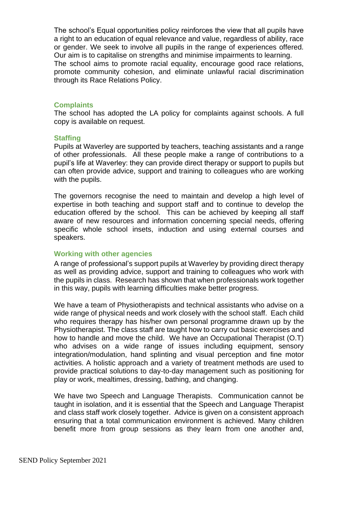The school's Equal opportunities policy reinforces the view that all pupils have a right to an education of equal relevance and value, regardless of ability, race or gender. We seek to involve all pupils in the range of experiences offered. Our aim is to capitalise on strengths and minimise impairments to learning. The school aims to promote racial equality, encourage good race relations, promote community cohesion, and eliminate unlawful racial discrimination through its Race Relations Policy.

# **Complaints**

The school has adopted the LA policy for complaints against schools. A full copy is available on request.

#### **Staffing**

Pupils at Waverley are supported by teachers, teaching assistants and a range of other professionals. All these people make a range of contributions to a pupil's life at Waverley: they can provide direct therapy or support to pupils but can often provide advice, support and training to colleagues who are working with the pupils.

The governors recognise the need to maintain and develop a high level of expertise in both teaching and support staff and to continue to develop the education offered by the school. This can be achieved by keeping all staff aware of new resources and information concerning special needs, offering specific whole school insets, induction and using external courses and speakers.

# **Working with other agencies**

A range of professional's support pupils at Waverley by providing direct therapy as well as providing advice, support and training to colleagues who work with the pupils in class. Research has shown that when professionals work together in this way, pupils with learning difficulties make better progress.

We have a team of Physiotherapists and technical assistants who advise on a wide range of physical needs and work closely with the school staff. Each child who requires therapy has his/her own personal programme drawn up by the Physiotherapist. The class staff are taught how to carry out basic exercises and how to handle and move the child. We have an Occupational Therapist (O.T) who advises on a wide range of issues including equipment, sensory integration/modulation, hand splinting and visual perception and fine motor activities. A holistic approach and a variety of treatment methods are used to provide practical solutions to day-to-day management such as positioning for play or work, mealtimes, dressing, bathing, and changing.

We have two Speech and Language Therapists. Communication cannot be taught in isolation, and it is essential that the Speech and Language Therapist and class staff work closely together. Advice is given on a consistent approach ensuring that a total communication environment is achieved. Many children benefit more from group sessions as they learn from one another and,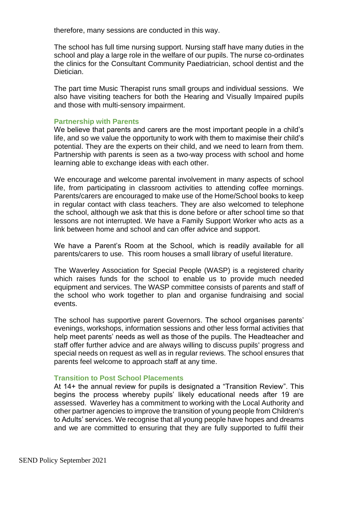therefore, many sessions are conducted in this way.

The school has full time nursing support. Nursing staff have many duties in the school and play a large role in the welfare of our pupils. The nurse co-ordinates the clinics for the Consultant Community Paediatrician, school dentist and the Dietician.

The part time Music Therapist runs small groups and individual sessions. We also have visiting teachers for both the Hearing and Visually Impaired pupils and those with multi-sensory impairment.

# **Partnership with Parents**

We believe that parents and carers are the most important people in a child's life, and so we value the opportunity to work with them to maximise their child's potential. They are the experts on their child, and we need to learn from them. Partnership with parents is seen as a two-way process with school and home learning able to exchange ideas with each other.

We encourage and welcome parental involvement in many aspects of school life, from participating in classroom activities to attending coffee mornings. Parents/carers are encouraged to make use of the Home/School books to keep in regular contact with class teachers. They are also welcomed to telephone the school, although we ask that this is done before or after school time so that lessons are not interrupted. We have a Family Support Worker who acts as a link between home and school and can offer advice and support.

We have a Parent's Room at the School, which is readily available for all parents/carers to use. This room houses a small library of useful literature.

The Waverley Association for Special People (WASP) is a registered charity which raises funds for the school to enable us to provide much needed equipment and services. The WASP committee consists of parents and staff of the school who work together to plan and organise fundraising and social events.

The school has supportive parent Governors. The school organises parents' evenings, workshops, information sessions and other less formal activities that help meet parents' needs as well as those of the pupils. The Headteacher and staff offer further advice and are always willing to discuss pupils' progress and special needs on request as well as in regular reviews. The school ensures that parents feel welcome to approach staff at any time.

# **Transition to Post School Placements**

At 14+ the annual review for pupils is designated a "Transition Review". This begins the process whereby pupils' likely educational needs after 19 are assessed. Waverley has a commitment to working with the Local Authority and other partner agencies to improve the transition of young people from Children's to Adults' services. We recognise that all young people have hopes and dreams and we are committed to ensuring that they are fully supported to fulfil their